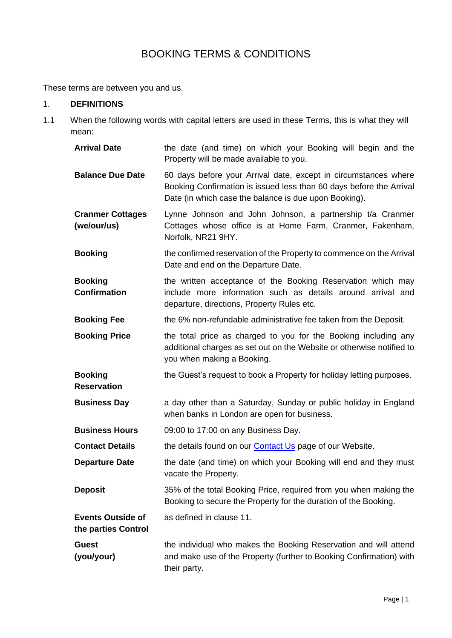# BOOKING TERMS & CONDITIONS

These terms are between you and us.

#### 1. **DEFINITIONS**

1.1 When the following words with capital letters are used in these Terms, this is what they will mean:

| <b>Arrival Date</b>                             | the date (and time) on which your Booking will begin and the<br>Property will be made available to you.                                                                                         |  |  |
|-------------------------------------------------|-------------------------------------------------------------------------------------------------------------------------------------------------------------------------------------------------|--|--|
| <b>Balance Due Date</b>                         | 60 days before your Arrival date, except in circumstances where<br>Booking Confirmation is issued less than 60 days before the Arrival<br>Date (in which case the balance is due upon Booking). |  |  |
| <b>Cranmer Cottages</b><br>(we/our/us)          | Lynne Johnson and John Johnson, a partnership t/a Cranmer<br>Cottages whose office is at Home Farm, Cranmer, Fakenham,<br>Norfolk, NR21 9HY.                                                    |  |  |
| <b>Booking</b>                                  | the confirmed reservation of the Property to commence on the Arrival<br>Date and end on the Departure Date.                                                                                     |  |  |
| <b>Booking</b><br><b>Confirmation</b>           | the written acceptance of the Booking Reservation which may<br>include more information such as details around arrival and<br>departure, directions, Property Rules etc.                        |  |  |
| <b>Booking Fee</b>                              | the 6% non-refundable administrative fee taken from the Deposit.                                                                                                                                |  |  |
| <b>Booking Price</b>                            | the total price as charged to you for the Booking including any<br>additional charges as set out on the Website or otherwise notified to<br>you when making a Booking.                          |  |  |
| <b>Booking</b><br><b>Reservation</b>            | the Guest's request to book a Property for holiday letting purposes.                                                                                                                            |  |  |
| <b>Business Day</b>                             | a day other than a Saturday, Sunday or public holiday in England<br>when banks in London are open for business.                                                                                 |  |  |
| <b>Business Hours</b>                           | 09:00 to 17:00 on any Business Day.                                                                                                                                                             |  |  |
| <b>Contact Details</b>                          | the details found on our <b>Contact Us</b> page of our Website.                                                                                                                                 |  |  |
| <b>Departure Date</b>                           | the date (and time) on which your Booking will end and they must<br>vacate the Property.                                                                                                        |  |  |
| <b>Deposit</b>                                  | 35% of the total Booking Price, required from you when making the<br>Booking to secure the Property for the duration of the Booking.                                                            |  |  |
| <b>Events Outside of</b><br>the parties Control | as defined in clause 11.                                                                                                                                                                        |  |  |
| Guest<br>(you/your)                             | the individual who makes the Booking Reservation and will attend<br>and make use of the Property (further to Booking Confirmation) with<br>their party.                                         |  |  |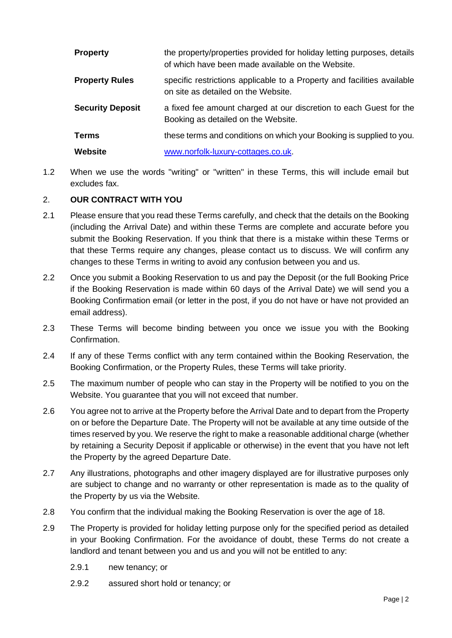| <b>Property</b>         | the property/properties provided for holiday letting purposes, details<br>of which have been made available on the Website. |  |
|-------------------------|-----------------------------------------------------------------------------------------------------------------------------|--|
| <b>Property Rules</b>   | specific restrictions applicable to a Property and facilities available<br>on site as detailed on the Website.              |  |
| <b>Security Deposit</b> | a fixed fee amount charged at our discretion to each Guest for the<br>Booking as detailed on the Website.                   |  |
| <b>Terms</b>            | these terms and conditions on which your Booking is supplied to you.                                                        |  |
| <b>Website</b>          | www.norfolk-luxury-cottages.co.uk.                                                                                          |  |

1.2 When we use the words "writing" or "written" in these Terms, this will include email but excludes fax.

# 2. **OUR CONTRACT WITH YOU**

- 2.1 Please ensure that you read these Terms carefully, and check that the details on the Booking (including the Arrival Date) and within these Terms are complete and accurate before you submit the Booking Reservation. If you think that there is a mistake within these Terms or that these Terms require any changes, please contact us to discuss. We will confirm any changes to these Terms in writing to avoid any confusion between you and us.
- 2.2 Once you submit a Booking Reservation to us and pay the Deposit (or the full Booking Price if the Booking Reservation is made within 60 days of the Arrival Date) we will send you a Booking Confirmation email (or letter in the post, if you do not have or have not provided an email address).
- 2.3 These Terms will become binding between you once we issue you with the Booking Confirmation.
- 2.4 If any of these Terms conflict with any term contained within the Booking Reservation, the Booking Confirmation, or the Property Rules, these Terms will take priority.
- 2.5 The maximum number of people who can stay in the Property will be notified to you on the Website. You guarantee that you will not exceed that number.
- 2.6 You agree not to arrive at the Property before the Arrival Date and to depart from the Property on or before the Departure Date. The Property will not be available at any time outside of the times reserved by you. We reserve the right to make a reasonable additional charge (whether by retaining a Security Deposit if applicable or otherwise) in the event that you have not left the Property by the agreed Departure Date.
- 2.7 Any illustrations, photographs and other imagery displayed are for illustrative purposes only are subject to change and no warranty or other representation is made as to the quality of the Property by us via the Website.
- 2.8 You confirm that the individual making the Booking Reservation is over the age of 18.
- 2.9 The Property is provided for holiday letting purpose only for the specified period as detailed in your Booking Confirmation. For the avoidance of doubt, these Terms do not create a landlord and tenant between you and us and you will not be entitled to any:
	- 2.9.1 new tenancy; or
	- 2.9.2 assured short hold or tenancy; or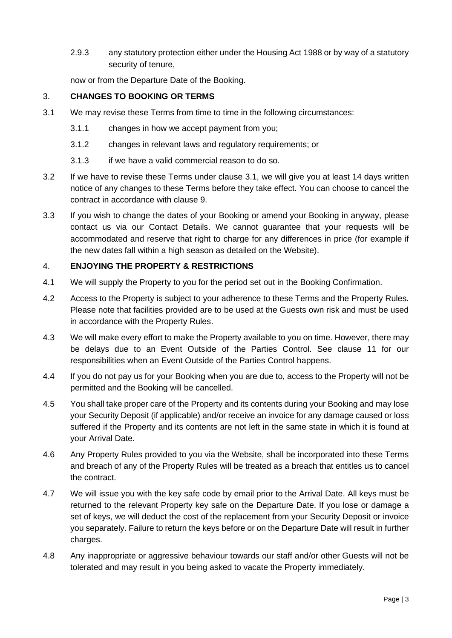2.9.3 any statutory protection either under the Housing Act 1988 or by way of a statutory security of tenure,

now or from the Departure Date of the Booking.

#### 3. **CHANGES TO BOOKING OR TERMS**

- <span id="page-2-0"></span>3.1 We may revise these Terms from time to time in the following circumstances:
	- 3.1.1 changes in how we accept payment from you;
	- 3.1.2 changes in relevant laws and regulatory requirements; or
	- 3.1.3 if we have a valid commercial reason to do so.
- 3.2 If we have to revise these Terms under clause [3.1,](#page-2-0) we will give you at least 14 days written notice of any changes to these Terms before they take effect. You can choose to cancel the contract in accordance with clause 9.
- 3.3 If you wish to change the dates of your Booking or amend your Booking in anyway, please contact us via our Contact Details. We cannot guarantee that your requests will be accommodated and reserve that right to charge for any differences in price (for example if the new dates fall within a high season as detailed on the Website).

#### 4. **ENJOYING THE PROPERTY & RESTRICTIONS**

- 4.1 We will supply the Property to you for the period set out in the Booking Confirmation.
- 4.2 Access to the Property is subject to your adherence to these Terms and the Property Rules. Please note that facilities provided are to be used at the Guests own risk and must be used in accordance with the Property Rules.
- 4.3 We will make every effort to make the Property available to you on time. However, there may be delays due to an Event Outside of the Parties Control. See clause 11 for our responsibilities when an Event Outside of the Parties Control happens.
- 4.4 If you do not pay us for your Booking when you are due to, access to the Property will not be permitted and the Booking will be cancelled.
- 4.5 You shall take proper care of the Property and its contents during your Booking and may lose your Security Deposit (if applicable) and/or receive an invoice for any damage caused or loss suffered if the Property and its contents are not left in the same state in which it is found at your Arrival Date.
- 4.6 Any Property Rules provided to you via the Website, shall be incorporated into these Terms and breach of any of the Property Rules will be treated as a breach that entitles us to cancel the contract.
- 4.7 We will issue you with the key safe code by email prior to the Arrival Date. All keys must be returned to the relevant Property key safe on the Departure Date. If you lose or damage a set of keys, we will deduct the cost of the replacement from your Security Deposit or invoice you separately. Failure to return the keys before or on the Departure Date will result in further charges.
- 4.8 Any inappropriate or aggressive behaviour towards our staff and/or other Guests will not be tolerated and may result in you being asked to vacate the Property immediately.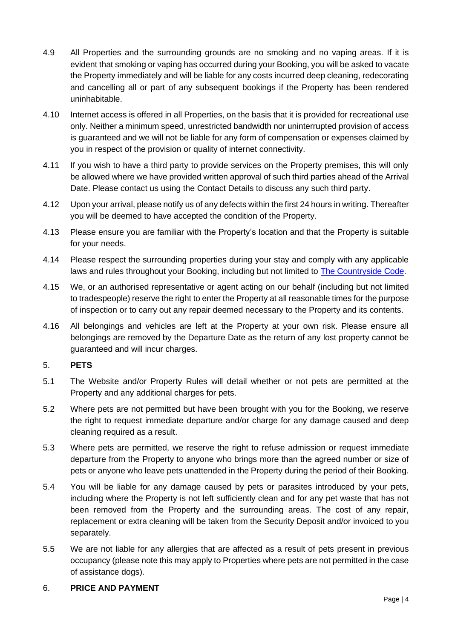- 4.9 All Properties and the surrounding grounds are no smoking and no vaping areas. If it is evident that smoking or vaping has occurred during your Booking, you will be asked to vacate the Property immediately and will be liable for any costs incurred deep cleaning, redecorating and cancelling all or part of any subsequent bookings if the Property has been rendered uninhabitable.
- 4.10 Internet access is offered in all Properties, on the basis that it is provided for recreational use only. Neither a minimum speed, unrestricted bandwidth nor uninterrupted provision of access is guaranteed and we will not be liable for any form of compensation or expenses claimed by you in respect of the provision or quality of internet connectivity.
- 4.11 If you wish to have a third party to provide services on the Property premises, this will only be allowed where we have provided written approval of such third parties ahead of the Arrival Date. Please contact us using the Contact Details to discuss any such third party.
- 4.12 Upon your arrival, please notify us of any defects within the first 24 hours in writing. Thereafter you will be deemed to have accepted the condition of the Property.
- 4.13 Please ensure you are familiar with the Property's location and that the Property is suitable for your needs.
- 4.14 Please respect the surrounding properties during your stay and comply with any applicable laws and rules throughout your Booking, including but not limited to [The Countryside Code.](https://www.gov.uk/government/publications/the-countryside-code)
- 4.15 We, or an authorised representative or agent acting on our behalf (including but not limited to tradespeople) reserve the right to enter the Property at all reasonable times for the purpose of inspection or to carry out any repair deemed necessary to the Property and its contents.
- 4.16 All belongings and vehicles are left at the Property at your own risk. Please ensure all belongings are removed by the Departure Date as the return of any lost property cannot be guaranteed and will incur charges.

# 5. **PETS**

- 5.1 The Website and/or Property Rules will detail whether or not pets are permitted at the Property and any additional charges for pets.
- 5.2 Where pets are not permitted but have been brought with you for the Booking, we reserve the right to request immediate departure and/or charge for any damage caused and deep cleaning required as a result.
- 5.3 Where pets are permitted, we reserve the right to refuse admission or request immediate departure from the Property to anyone who brings more than the agreed number or size of pets or anyone who leave pets unattended in the Property during the period of their Booking.
- 5.4 You will be liable for any damage caused by pets or parasites introduced by your pets, including where the Property is not left sufficiently clean and for any pet waste that has not been removed from the Property and the surrounding areas. The cost of any repair, replacement or extra cleaning will be taken from the Security Deposit and/or invoiced to you separately.
- 5.5 We are not liable for any allergies that are affected as a result of pets present in previous occupancy (please note this may apply to Properties where pets are not permitted in the case of assistance dogs).

#### 6. **PRICE AND PAYMENT**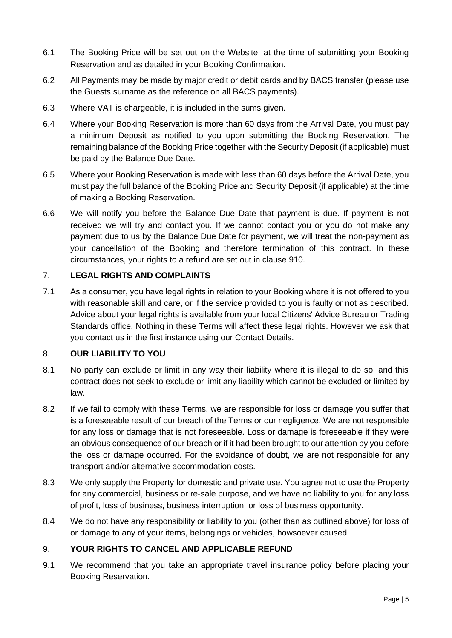- 6.1 The Booking Price will be set out on the Website, at the time of submitting your Booking Reservation and as detailed in your Booking Confirmation.
- 6.2 All Payments may be made by major credit or debit cards and by BACS transfer (please use the Guests surname as the reference on all BACS payments).
- 6.3 Where VAT is chargeable, it is included in the sums given.
- 6.4 Where your Booking Reservation is more than 60 days from the Arrival Date, you must pay a minimum Deposit as notified to you upon submitting the Booking Reservation. The remaining balance of the Booking Price together with the Security Deposit (if applicable) must be paid by the Balance Due Date.
- 6.5 Where your Booking Reservation is made with less than 60 days before the Arrival Date, you must pay the full balance of the Booking Price and Security Deposit (if applicable) at the time of making a Booking Reservation.
- 6.6 We will notify you before the Balance Due Date that payment is due. If payment is not received we will try and contact you. If we cannot contact you or you do not make any payment due to us by the Balance Due Date for payment, we will treat the non-payment as your cancellation of the Booking and therefore termination of this contract. In these circumstances, your rights to a refund are set out in clause [910.](#page-5-0)

#### 7. **LEGAL RIGHTS AND COMPLAINTS**

7.1 As a consumer, you have legal rights in relation to your Booking where it is not offered to you with reasonable skill and care, or if the service provided to you is faulty or not as described. Advice about your legal rights is available from your local Citizens' Advice Bureau or Trading Standards office. Nothing in these Terms will affect these legal rights. However we ask that you contact us in the first instance using our Contact Details.

#### 8. **OUR LIABILITY TO YOU**

- 8.1 No party can exclude or limit in any way their liability where it is illegal to do so, and this contract does not seek to exclude or limit any liability which cannot be excluded or limited by law.
- 8.2 If we fail to comply with these Terms, we are responsible for loss or damage you suffer that is a foreseeable result of our breach of the Terms or our negligence. We are not responsible for any loss or damage that is not foreseeable. Loss or damage is foreseeable if they were an obvious consequence of our breach or if it had been brought to our attention by you before the loss or damage occurred. For the avoidance of doubt, we are not responsible for any transport and/or alternative accommodation costs.
- 8.3 We only supply the Property for domestic and private use. You agree not to use the Property for any commercial, business or re-sale purpose, and we have no liability to you for any loss of profit, loss of business, business interruption, or loss of business opportunity.
- 8.4 We do not have any responsibility or liability to you (other than as outlined above) for loss of or damage to any of your items, belongings or vehicles, howsoever caused.

# 9. **YOUR RIGHTS TO CANCEL AND APPLICABLE REFUND**

9.1 We recommend that you take an appropriate travel insurance policy before placing your Booking Reservation.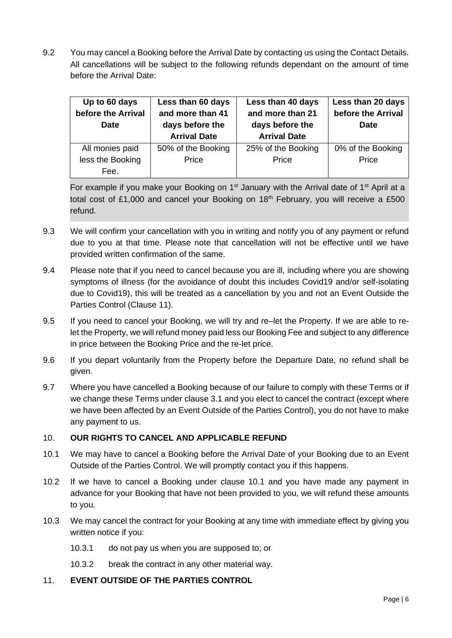9.2 You may cancel a Booking before the Arrival Date by contacting us using the Contact Details. All cancellations will be subject to the following refunds dependant on the amount of time before the Arrival Date:

| Up to 60 days<br>before the Arrival<br><b>Date</b> | Less than 60 days<br>and more than 41<br>days before the<br><b>Arrival Date</b> | Less than 40 days<br>and more than 21<br>days before the<br><b>Arrival Date</b> | Less than 20 days<br>before the Arrival<br>Date |
|----------------------------------------------------|---------------------------------------------------------------------------------|---------------------------------------------------------------------------------|-------------------------------------------------|
| All monies paid                                    | 50% of the Booking                                                              | 25% of the Booking                                                              | 0% of the Booking                               |
| less the Booking                                   | Price                                                                           | Price                                                                           | Price                                           |
| Fee.                                               |                                                                                 |                                                                                 |                                                 |

For example if you make your Booking on  $1<sup>st</sup>$  January with the Arrival date of  $1<sup>st</sup>$  April at a total cost of £1,000 and cancel your Booking on  $18<sup>th</sup>$  February, you will receive a £500 refund.

- 9.3 We will confirm your cancellation with you in writing and notify you of any payment or refund due to you at that time. Please note that cancellation will not be effective until we have provided written confirmation of the same.
- 9.4 Please note that if you need to cancel because you are ill, including where you are showing symptoms of illness (for the avoidance of doubt this includes Covid19 and/or self-isolating due to Covid19), this will be treated as a cancellation by you and not an Event Outside the Parties Control (Clause 11).
- 9.5 If you need to cancel your Booking, we will try and re–let the Property. If we are able to relet the Property, we will refund money paid less our Booking Fee and subject to any difference in price between the Booking Price and the re-let price.
- 9.6 If you depart voluntarily from the Property before the Departure Date, no refund shall be given.
- 9.7 Where you have cancelled a Booking because of our failure to comply with these Terms or if we change these Terms under clause [3.1](#page-2-0) and you elect to cancel the contract (except where we have been affected by an Event Outside of the Parties Control), you do not have to make any payment to us.

# <span id="page-5-0"></span>10. **OUR RIGHTS TO CANCEL AND APPLICABLE REFUND**

- <span id="page-5-1"></span>10.1 We may have to cancel a Booking before the Arrival Date of your Booking due to an Event Outside of the Parties Control. We will promptly contact you if this happens.
- 10.2 If we have to cancel a Booking under clause [10.1](#page-5-1) and you have made any payment in advance for your Booking that have not been provided to you, we will refund these amounts to you.
- 10.3 We may cancel the contract for your Booking at any time with immediate effect by giving you written notice if you:
	- 10.3.1 do not pay us when you are supposed to; or
	- 10.3.2 break the contract in any other material way.

# 11. **EVENT OUTSIDE OF THE PARTIES CONTROL**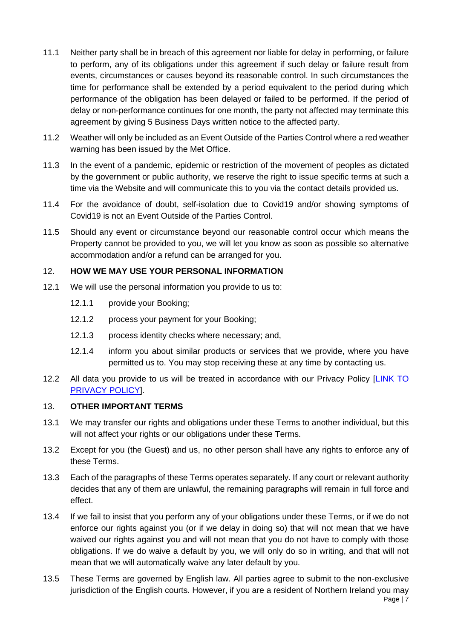- 11.1 Neither party shall be in breach of this agreement nor liable for delay in performing, or failure to perform, any of its obligations under this agreement if such delay or failure result from events, circumstances or causes beyond its reasonable control. In such circumstances the time for performance shall be extended by a period equivalent to the period during which performance of the obligation has been delayed or failed to be performed. If the period of delay or non-performance continues for one month, the party not affected may terminate this agreement by giving 5 Business Days written notice to the affected party.
- 11.2 Weather will only be included as an Event Outside of the Parties Control where a red weather warning has been issued by the Met Office.
- 11.3 In the event of a pandemic, epidemic or restriction of the movement of peoples as dictated by the government or public authority, we reserve the right to issue specific terms at such a time via the Website and will communicate this to you via the contact details provided us.
- 11.4 For the avoidance of doubt, self-isolation due to Covid19 and/or showing symptoms of Covid19 is not an Event Outside of the Parties Control.
- 11.5 Should any event or circumstance beyond our reasonable control occur which means the Property cannot be provided to you, we will let you know as soon as possible so alternative accommodation and/or a refund can be arranged for you.

# 12. **HOW WE MAY USE YOUR PERSONAL INFORMATION**

- 12.1 We will use the personal information you provide to us to:
	- 12.1.1 provide your Booking;
	- 12.1.2 process your payment for your Booking;
	- 12.1.3 process identity checks where necessary; and,
	- 12.1.4 inform you about similar products or services that we provide, where you have permitted us to. You may stop receiving these at any time by contacting us.
- 12.2 All data you provide to us will be treated in accordance with our Privacy Policy [LINK TO [PRIVACY POLICY\]](CCC%20Privacy%20policy%20document%202021.docx).

#### 13. **OTHER IMPORTANT TERMS**

- 13.1 We may transfer our rights and obligations under these Terms to another individual, but this will not affect your rights or our obligations under these Terms.
- 13.2 Except for you (the Guest) and us, no other person shall have any rights to enforce any of these Terms.
- 13.3 Each of the paragraphs of these Terms operates separately. If any court or relevant authority decides that any of them are unlawful, the remaining paragraphs will remain in full force and effect.
- 13.4 If we fail to insist that you perform any of your obligations under these Terms, or if we do not enforce our rights against you (or if we delay in doing so) that will not mean that we have waived our rights against you and will not mean that you do not have to comply with those obligations. If we do waive a default by you, we will only do so in writing, and that will not mean that we will automatically waive any later default by you.
- 13.5 These Terms are governed by English law. All parties agree to submit to the non-exclusive jurisdiction of the English courts. However, if you are a resident of Northern Ireland you may